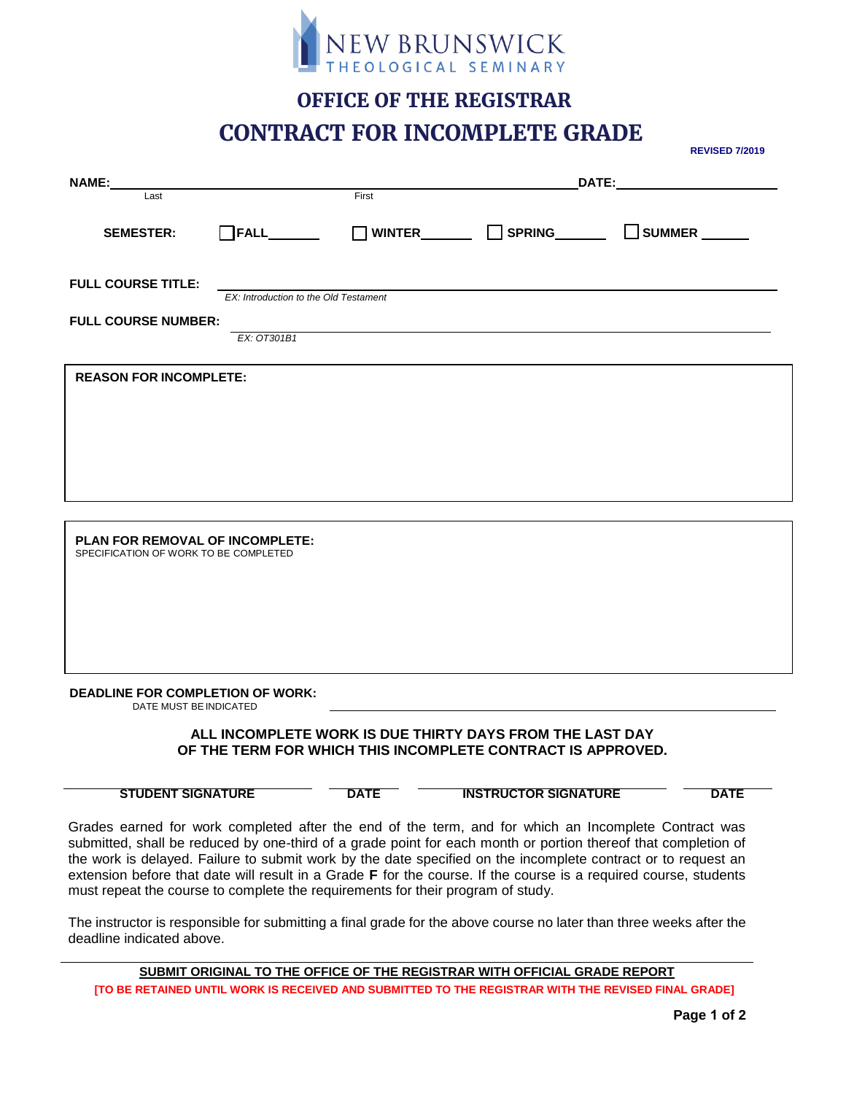

### **OFFICE OF THE REGISTRAR CONTRACT FOR INCOMPLETE GRADE**

**NAME: DATE:** Last **First** SEMESTER: □FALL\_\_\_ □ WINTER\_\_\_ □ SPRING\_\_\_ □ SUMMER\_\_\_ **FULL COURSE TITLE:** *EX: Introduction to the Old Testament* **FULL COURSE NUMBER:** *EX: OT301B1* **REASON FOR INCOMPLETE: PLAN FOR REMOVAL OF INCOMPLETE:** SPECIFICATION OF WORK TO BE COMPLETED

**DEADLINE FOR COMPLETION OF WORK:**

DATE MUST BEINDICATED

#### **ALL INCOMPLETE WORK IS DUE THIRTY DAYS FROM THE LAST DAY OF THE TERM FOR WHICH THIS INCOMPLETE CONTRACT IS APPROVED.**

**STUDENT SIGNATURE DATE INSTRUCTOR SIGNATURE DATE**

Grades earned for work completed after the end of the term, and for which an Incomplete Contract was submitted, shall be reduced by one-third of a grade point for each month or portion thereof that completion of the work is delayed. Failure to submit work by the date specified on the incomplete contract or to request an extension before that date will result in a Grade **F** for the course. If the course is a required course, students must repeat the course to complete the requirements for their program of study.

The instructor is responsible for submitting a final grade for the above course no later than three weeks after the deadline indicated above.

**SUBMIT ORIGINAL TO THE OFFICE OF THE REGISTRAR WITH OFFICIAL GRADE REPORT [TO BE RETAINED UNTIL WORK IS RECEIVED AND SUBMITTED TO THE REGISTRAR WITH THE REVISED FINAL GRADE]**

**REVISED 7/2019**